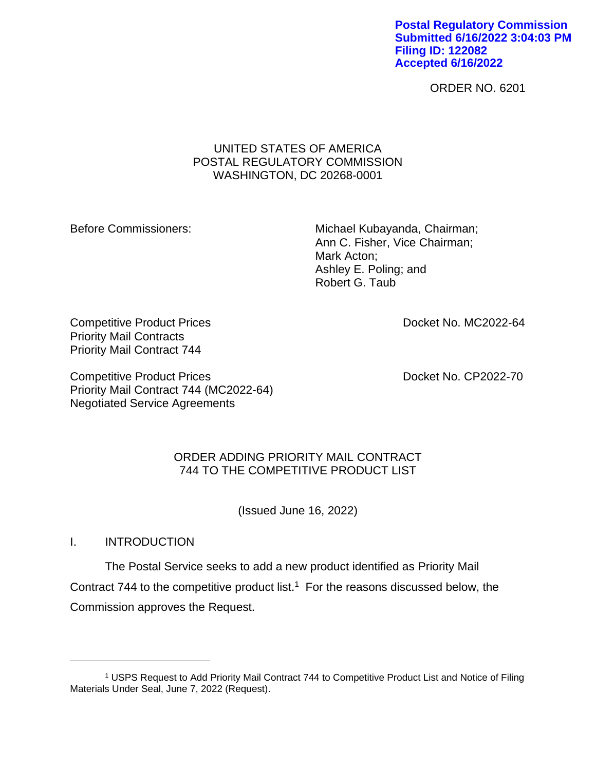**Postal Regulatory Commission Submitted 6/16/2022 3:04:03 PM Filing ID: 122082 Accepted 6/16/2022**

ORDER NO. 6201

## UNITED STATES OF AMERICA POSTAL REGULATORY COMMISSION WASHINGTON, DC 20268-0001

Before Commissioners: Michael Kubayanda, Chairman; Ann C. Fisher, Vice Chairman; Mark Acton; Ashley E. Poling; and Robert G. Taub

Competitive Product Prices **Competitive Product Prices Docket No. MC2022-64** Priority Mail Contracts Priority Mail Contract 744

Competitive Product Prices **Docket No. CP2022-70** Priority Mail Contract 744 (MC2022-64) Negotiated Service Agreements

## ORDER ADDING PRIORITY MAIL CONTRACT 744 TO THE COMPETITIVE PRODUCT LIST

(Issued June 16, 2022)

I. INTRODUCTION

The Postal Service seeks to add a new product identified as Priority Mail Contract 744 to the competitive product list.<sup>1</sup> For the reasons discussed below, the Commission approves the Request.

<sup>1</sup> USPS Request to Add Priority Mail Contract 744 to Competitive Product List and Notice of Filing Materials Under Seal, June 7, 2022 (Request).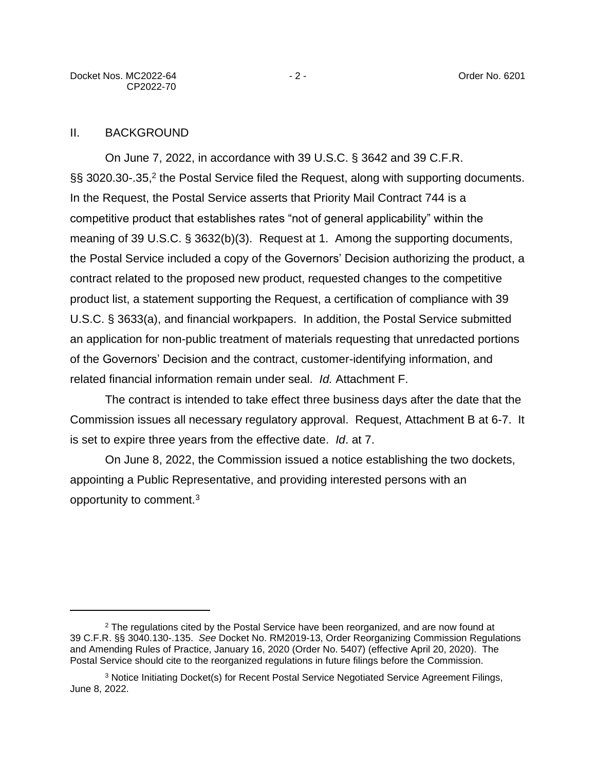### II. BACKGROUND

On June 7, 2022, in accordance with 39 U.S.C. § 3642 and 39 C.F.R. §§ 3020.30-.35,<sup>2</sup> the Postal Service filed the Request, along with supporting documents. In the Request, the Postal Service asserts that Priority Mail Contract 744 is a competitive product that establishes rates "not of general applicability" within the meaning of 39 U.S.C. § 3632(b)(3). Request at 1. Among the supporting documents, the Postal Service included a copy of the Governors' Decision authorizing the product, a contract related to the proposed new product, requested changes to the competitive product list, a statement supporting the Request, a certification of compliance with 39 U.S.C. § 3633(a), and financial workpapers. In addition, the Postal Service submitted an application for non-public treatment of materials requesting that unredacted portions of the Governors' Decision and the contract, customer-identifying information, and related financial information remain under seal. *Id.* Attachment F.

The contract is intended to take effect three business days after the date that the Commission issues all necessary regulatory approval. Request, Attachment B at 6-7. It is set to expire three years from the effective date. *Id*. at 7.

On June 8, 2022, the Commission issued a notice establishing the two dockets, appointing a Public Representative, and providing interested persons with an opportunity to comment.<sup>3</sup>

<sup>&</sup>lt;sup>2</sup> The regulations cited by the Postal Service have been reorganized, and are now found at 39 C.F.R. §§ 3040.130-.135. *See* Docket No. RM2019-13, Order Reorganizing Commission Regulations and Amending Rules of Practice, January 16, 2020 (Order No. 5407) (effective April 20, 2020). The Postal Service should cite to the reorganized regulations in future filings before the Commission.

<sup>3</sup> Notice Initiating Docket(s) for Recent Postal Service Negotiated Service Agreement Filings, June 8, 2022.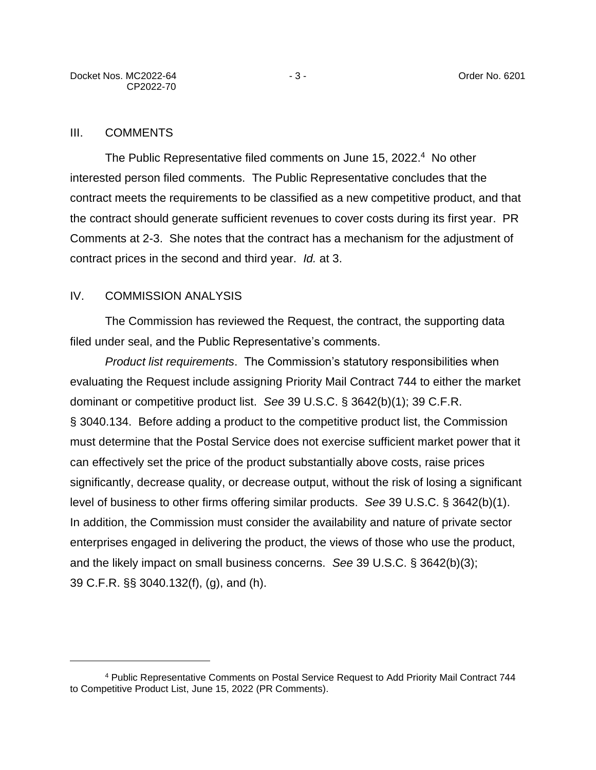#### III. COMMENTS

The Public Representative filed comments on June 15, 2022.<sup>4</sup> No other interested person filed comments. The Public Representative concludes that the contract meets the requirements to be classified as a new competitive product, and that the contract should generate sufficient revenues to cover costs during its first year. PR Comments at 2-3. She notes that the contract has a mechanism for the adjustment of contract prices in the second and third year. *Id.* at 3.

## IV. COMMISSION ANALYSIS

The Commission has reviewed the Request, the contract, the supporting data filed under seal, and the Public Representative's comments.

*Product list requirements*. The Commission's statutory responsibilities when evaluating the Request include assigning Priority Mail Contract 744 to either the market dominant or competitive product list. *See* 39 U.S.C. § 3642(b)(1); 39 C.F.R. § 3040.134. Before adding a product to the competitive product list, the Commission must determine that the Postal Service does not exercise sufficient market power that it can effectively set the price of the product substantially above costs, raise prices significantly, decrease quality, or decrease output, without the risk of losing a significant level of business to other firms offering similar products. *See* 39 U.S.C. § 3642(b)(1). In addition, the Commission must consider the availability and nature of private sector enterprises engaged in delivering the product, the views of those who use the product, and the likely impact on small business concerns. *See* 39 U.S.C. § 3642(b)(3); 39 C.F.R. §§ 3040.132(f), (g), and (h).

<sup>4</sup> Public Representative Comments on Postal Service Request to Add Priority Mail Contract 744 to Competitive Product List, June 15, 2022 (PR Comments).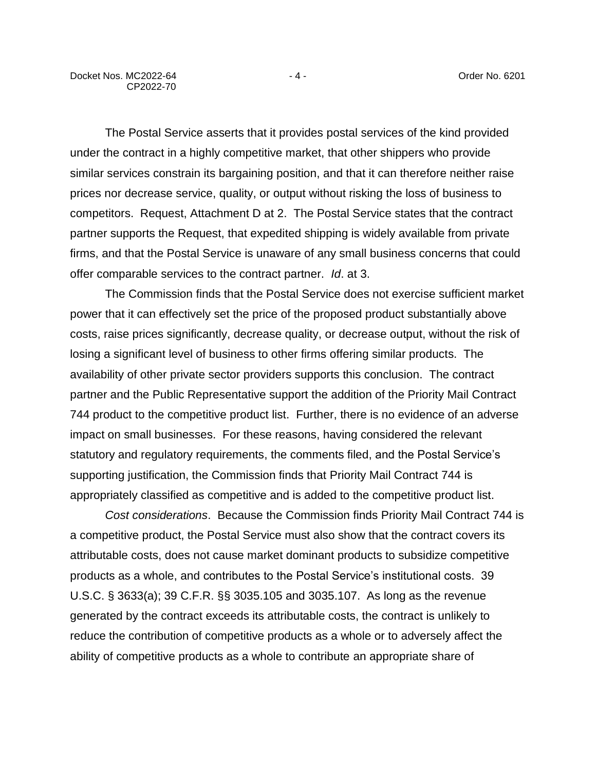The Postal Service asserts that it provides postal services of the kind provided under the contract in a highly competitive market, that other shippers who provide similar services constrain its bargaining position, and that it can therefore neither raise prices nor decrease service, quality, or output without risking the loss of business to competitors. Request, Attachment D at 2. The Postal Service states that the contract partner supports the Request, that expedited shipping is widely available from private firms, and that the Postal Service is unaware of any small business concerns that could offer comparable services to the contract partner. *Id*. at 3.

The Commission finds that the Postal Service does not exercise sufficient market power that it can effectively set the price of the proposed product substantially above costs, raise prices significantly, decrease quality, or decrease output, without the risk of losing a significant level of business to other firms offering similar products. The availability of other private sector providers supports this conclusion. The contract partner and the Public Representative support the addition of the Priority Mail Contract 744 product to the competitive product list. Further, there is no evidence of an adverse impact on small businesses. For these reasons, having considered the relevant statutory and regulatory requirements, the comments filed, and the Postal Service's supporting justification, the Commission finds that Priority Mail Contract 744 is appropriately classified as competitive and is added to the competitive product list.

*Cost considerations*. Because the Commission finds Priority Mail Contract 744 is a competitive product, the Postal Service must also show that the contract covers its attributable costs, does not cause market dominant products to subsidize competitive products as a whole, and contributes to the Postal Service's institutional costs. 39 U.S.C. § 3633(a); 39 C.F.R. §§ 3035.105 and 3035.107. As long as the revenue generated by the contract exceeds its attributable costs, the contract is unlikely to reduce the contribution of competitive products as a whole or to adversely affect the ability of competitive products as a whole to contribute an appropriate share of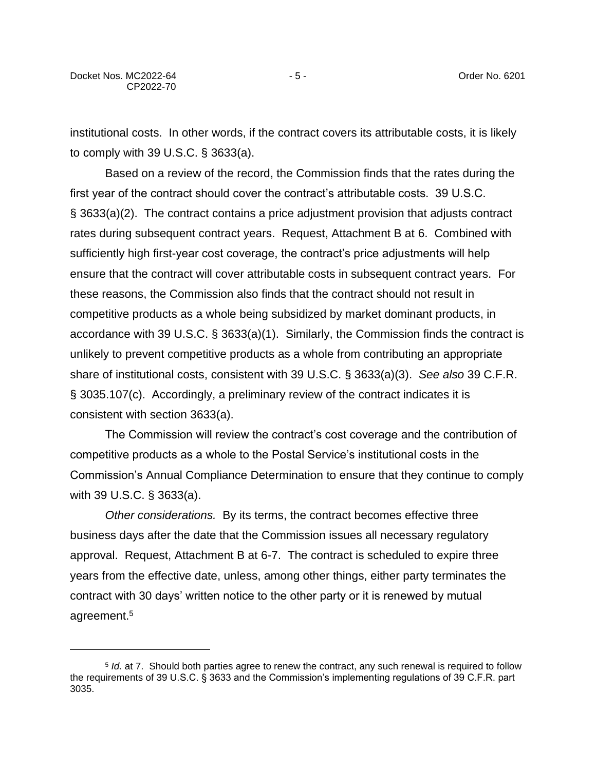institutional costs. In other words, if the contract covers its attributable costs, it is likely to comply with 39 U.S.C. § 3633(a).

Based on a review of the record, the Commission finds that the rates during the first year of the contract should cover the contract's attributable costs. 39 U.S.C. § 3633(a)(2). The contract contains a price adjustment provision that adjusts contract rates during subsequent contract years. Request, Attachment B at 6. Combined with sufficiently high first-year cost coverage, the contract's price adjustments will help ensure that the contract will cover attributable costs in subsequent contract years. For these reasons, the Commission also finds that the contract should not result in competitive products as a whole being subsidized by market dominant products, in accordance with 39 U.S.C. § 3633(a)(1). Similarly, the Commission finds the contract is unlikely to prevent competitive products as a whole from contributing an appropriate share of institutional costs, consistent with 39 U.S.C. § 3633(a)(3). *See also* 39 C.F.R. § 3035.107(c). Accordingly, a preliminary review of the contract indicates it is consistent with section 3633(a).

The Commission will review the contract's cost coverage and the contribution of competitive products as a whole to the Postal Service's institutional costs in the Commission's Annual Compliance Determination to ensure that they continue to comply with 39 U.S.C. § 3633(a).

*Other considerations.* By its terms, the contract becomes effective three business days after the date that the Commission issues all necessary regulatory approval. Request, Attachment B at 6-7. The contract is scheduled to expire three years from the effective date, unless, among other things, either party terminates the contract with 30 days' written notice to the other party or it is renewed by mutual agreement.<sup>5</sup>

<sup>5</sup> *Id.* at 7.Should both parties agree to renew the contract, any such renewal is required to follow the requirements of 39 U.S.C. § 3633 and the Commission's implementing regulations of 39 C.F.R. part 3035.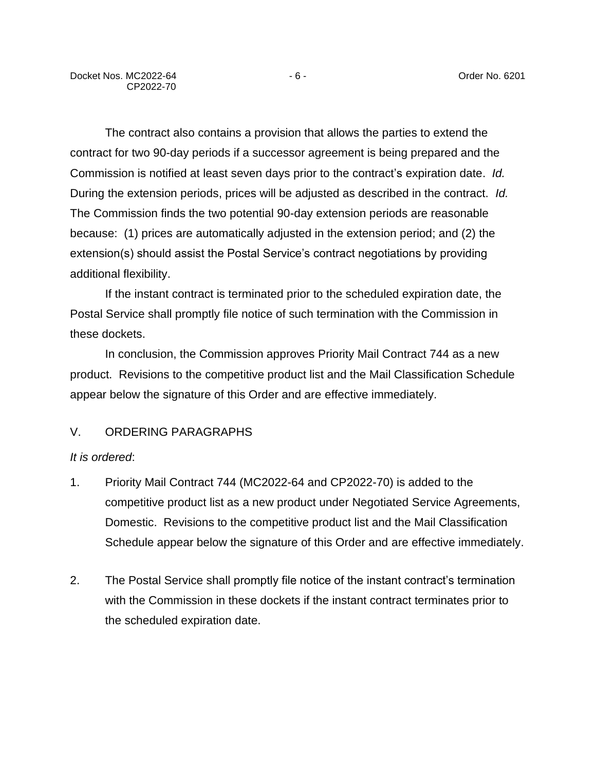The contract also contains a provision that allows the parties to extend the contract for two 90-day periods if a successor agreement is being prepared and the Commission is notified at least seven days prior to the contract's expiration date. *Id.* During the extension periods, prices will be adjusted as described in the contract. *Id.* The Commission finds the two potential 90-day extension periods are reasonable because: (1) prices are automatically adjusted in the extension period; and (2) the extension(s) should assist the Postal Service's contract negotiations by providing additional flexibility.

If the instant contract is terminated prior to the scheduled expiration date, the Postal Service shall promptly file notice of such termination with the Commission in these dockets.

In conclusion, the Commission approves Priority Mail Contract 744 as a new product. Revisions to the competitive product list and the Mail Classification Schedule appear below the signature of this Order and are effective immediately.

## V. ORDERING PARAGRAPHS

#### *It is ordered*:

- 1. Priority Mail Contract 744 (MC2022-64 and CP2022-70) is added to the competitive product list as a new product under Negotiated Service Agreements, Domestic. Revisions to the competitive product list and the Mail Classification Schedule appear below the signature of this Order and are effective immediately.
- 2. The Postal Service shall promptly file notice of the instant contract's termination with the Commission in these dockets if the instant contract terminates prior to the scheduled expiration date.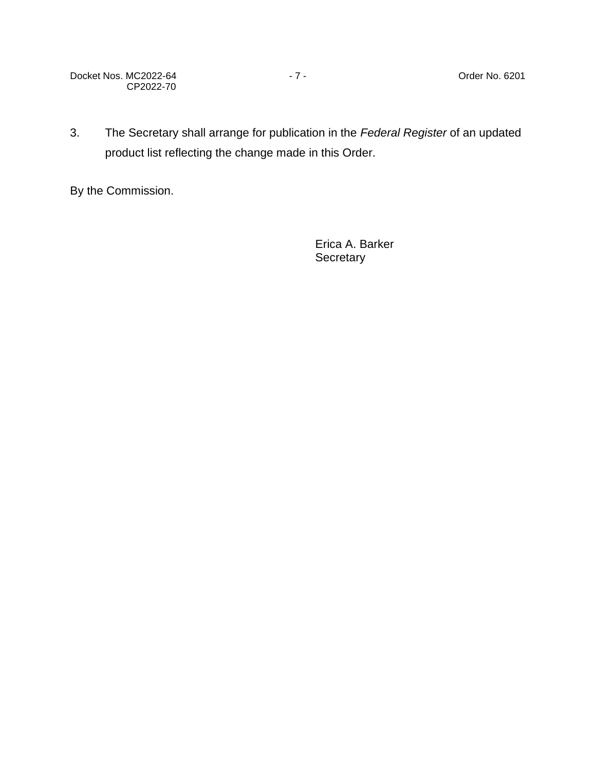Docket Nos. MC2022-64 - 7 - 7 - The Contract Order No. 6201 CP2022-70

3. The Secretary shall arrange for publication in the *Federal Register* of an updated product list reflecting the change made in this Order.

By the Commission.

Erica A. Barker **Secretary**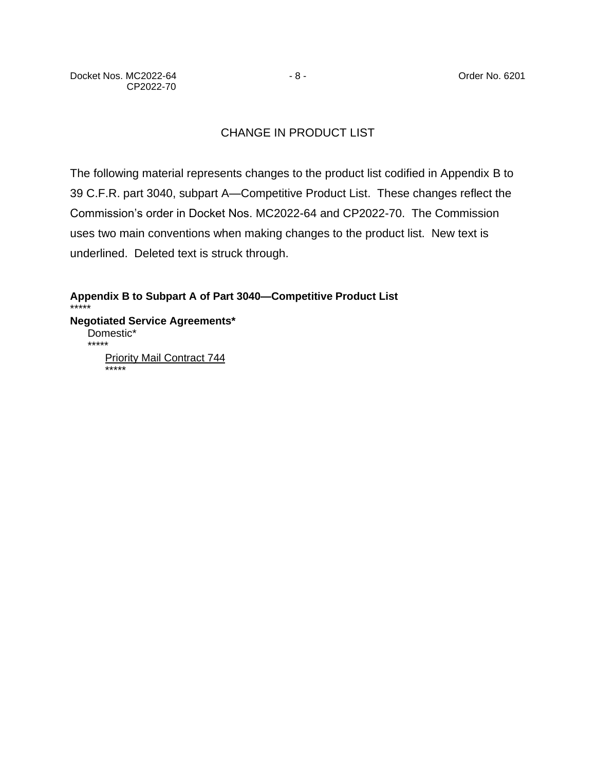# CHANGE IN PRODUCT LIST

The following material represents changes to the product list codified in Appendix B to 39 C.F.R. part 3040, subpart A—Competitive Product List. These changes reflect the Commission's order in Docket Nos. MC2022-64 and CP2022-70. The Commission uses two main conventions when making changes to the product list. New text is underlined. Deleted text is struck through.

**Appendix B to Subpart A of Part 3040—Competitive Product List** \*\*\*\*\* **Negotiated Service Agreements\*** Domestic\* \*\*\*\*\* Priority Mail Contract 744 \*\*\*\*\*